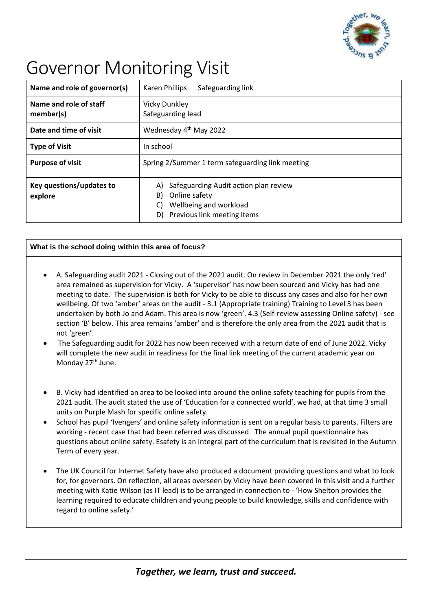

## Governor Monitoring Visit

| Name and role of governor(s)        | Safeguarding link<br>Karen Phillips                                                                                                     |
|-------------------------------------|-----------------------------------------------------------------------------------------------------------------------------------------|
| Name and role of staff<br>member(s) | <b>Vicky Dunkley</b><br>Safeguarding lead                                                                                               |
| Date and time of visit              | Wednesday 4 <sup>th</sup> May 2022                                                                                                      |
| <b>Type of Visit</b>                | In school                                                                                                                               |
| <b>Purpose of visit</b>             | Spring 2/Summer 1 term safeguarding link meeting                                                                                        |
| Key questions/updates to<br>explore | Safeguarding Audit action plan review<br>A)<br>Online safety<br>B)<br>Wellbeing and workload<br>C)<br>Previous link meeting items<br>D) |

## **What is the school doing within this area of focus?**

- A. Safeguarding audit 2021 Closing out of the 2021 audit. On review in December 2021 the only 'red' area remained as supervision for Vicky. A 'supervisor' has now been sourced and Vicky has had one meeting to date. The supervision is both for Vicky to be able to discuss any cases and also for her own wellbeing. Of two 'amber' areas on the audit - 3.1 (Appropriate training) Training to Level 3 has been undertaken by both Jo and Adam. This area is now 'green'. 4.3 (Self-review assessing Online safety) - see section 'B' below. This area remains 'amber' and is therefore the only area from the 2021 audit that is not 'green'.
- The Safeguarding audit for 2022 has now been received with a return date of end of June 2022. Vicky will complete the new audit in readiness for the final link meeting of the current academic year on Monday 27<sup>th</sup> June.
- B. Vicky had identified an area to be looked into around the online safety teaching for pupils from the 2021 audit. The audit stated the use of 'Education for a connected world', we had, at that time 3 small units on Purple Mash for specific online safety.
- School has pupil 'Ivengers' and online safety information is sent on a regular basis to parents. Filters are working - recent case that had been referred was discussed. The annual pupil questionnaire has questions about online safety. Esafety is an integral part of the curriculum that is revisited in the Autumn Term of every year.
- The UK Council for Internet Safety have also produced a document providing questions and what to look for, for governors. On reflection, all areas overseen by Vicky have been covered in this visit and a further meeting with Katie Wilson (as IT lead) is to be arranged in connection to - 'How Shelton provides the learning required to educate children and young people to build knowledge, skills and confidence with regard to online safety.'